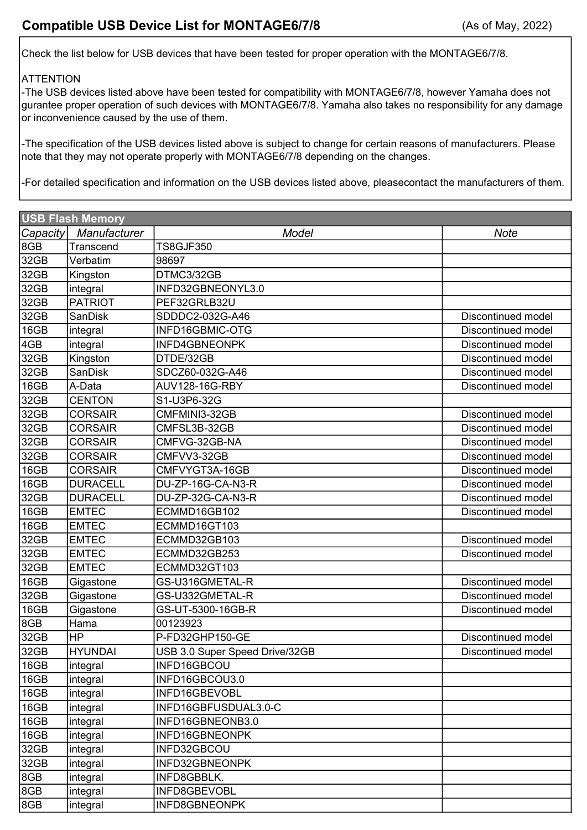Check the list below for USB devices that have been tested for proper operation with the MONTAGE6/7/8.

## **ATTENTION**

-The USB devices listed above have been tested for compatibility with MONTAGE6/7/8, however Yamaha does not gurantee proper operation of such devices with MONTAGE6/7/8. Yamaha also takes no responsibility for any damage or inconvenience caused by the use of them.

-The specification of the USB devices listed above is subject to change for certain reasons of manufacturers. Please note that they may not operate properly with MONTAGE6/7/8 depending on the changes.

-For detailed specification and information on the USB devices listed above, pleasecontact the manufacturers of them.

| <b>USB Flash Memory</b> |                 |                                |                           |
|-------------------------|-----------------|--------------------------------|---------------------------|
| Capacity                | Manufacturer    | Model                          | <b>Note</b>               |
| 8GB                     | Transcend       | <b>TS8GJF350</b>               |                           |
| 32GB                    | Verbatim        | 98697                          |                           |
| 32GB                    | Kingston        | DTMC3/32GB                     |                           |
| 32GB                    | integral        | INFD32GBNEONYL3.0              |                           |
| 32GB                    | <b>PATRIOT</b>  | PEF32GRLB32U                   |                           |
| 32GB                    | <b>SanDisk</b>  | SDDDC2-032G-A46                | Discontinued model        |
| 16GB                    | integral        | INFD16GBMIC-OTG                | Discontinued model        |
| 4GB                     | integral        | INFD4GBNEONPK                  | Discontinued model        |
| 32GB                    | Kingston        | DTDE/32GB                      | Discontinued model        |
| 32GB                    | <b>SanDisk</b>  | SDCZ60-032G-A46                | Discontinued model        |
| 16GB                    | A-Data          | AUV128-16G-RBY                 | <b>Discontinued model</b> |
| 32GB                    | <b>CENTON</b>   | S1-U3P6-32G                    |                           |
| 32GB                    | <b>CORSAIR</b>  | CMFMINI3-32GB                  | Discontinued model        |
| 32GB                    | <b>CORSAIR</b>  | CMFSL3B-32GB                   | Discontinued model        |
| 32GB                    | <b>CORSAIR</b>  | CMFVG-32GB-NA                  | Discontinued model        |
| 32GB                    | <b>CORSAIR</b>  | CMFVV3-32GB                    | Discontinued model        |
| 16GB                    | <b>CORSAIR</b>  | CMFVYGT3A-16GB                 | Discontinued model        |
| 16GB                    | <b>DURACELL</b> | DU-ZP-16G-CA-N3-R              | Discontinued model        |
| 32GB                    | <b>DURACELL</b> | DU-ZP-32G-CA-N3-R              | Discontinued model        |
| 16GB                    | <b>EMTEC</b>    | ECMMD16GB102                   | Discontinued model        |
| 16GB                    | <b>EMTEC</b>    | ECMMD16GT103                   |                           |
| 32GB                    | <b>EMTEC</b>    | ECMMD32GB103                   | Discontinued model        |
| 32GB                    | <b>EMTEC</b>    | ECMMD32GB253                   | Discontinued model        |
| 32GB                    | <b>EMTEC</b>    | ECMMD32GT103                   |                           |
| 16GB                    | Gigastone       | GS-U316GMETAL-R                | Discontinued model        |
| 32GB                    | Gigastone       | GS-U332GMETAL-R                | Discontinued model        |
| 16GB                    | Gigastone       | GS-UT-5300-16GB-R              | Discontinued model        |
| 8GB                     | Hama            | 00123923                       |                           |
| 32GB                    | HP              | P-FD32GHP150-GE                | Discontinued model        |
| 32GB                    | <b>HYUNDAI</b>  | USB 3.0 Super Speed Drive/32GB | Discontinued model        |
| 16GB                    | integral        | INFD16GBCOU                    |                           |
| 16GB                    | integral        | INFD16GBCOU3.0                 |                           |
| 16GB                    | integral        | INFD16GBEVOBL                  |                           |
| 16GB                    | integral        | INFD16GBFUSDUAL3.0-C           |                           |
| 16GB                    | integral        | INFD16GBNEONB3.0               |                           |
| 16GB                    | integral        | INFD16GBNEONPK                 |                           |
| 32GB                    | integral        | INFD32GBCOU                    |                           |
| 32GB                    | integral        | INFD32GBNEONPK                 |                           |
| 8GB                     | integral        | INFD8GBBLK.                    |                           |
| 8GB                     | integral        | INFD8GBEVOBL                   |                           |
| 8GB                     | integral        | INFD8GBNEONPK                  |                           |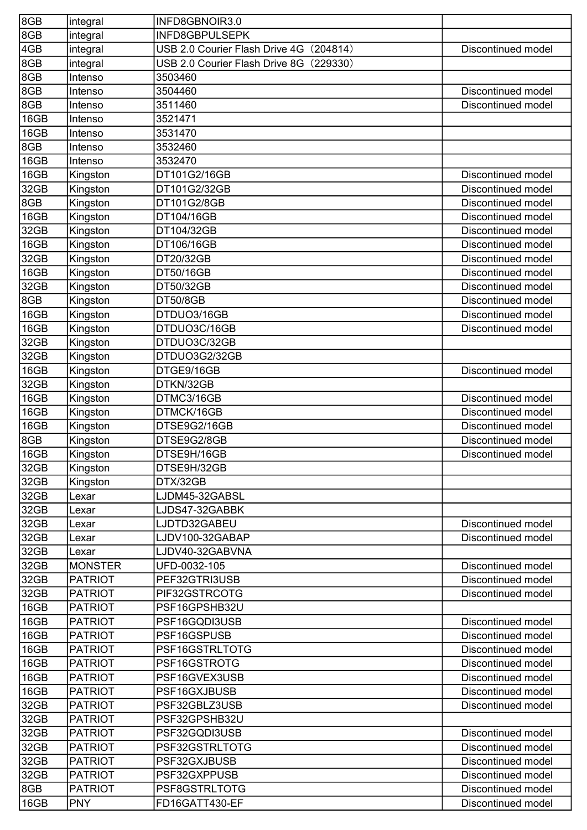| 8GB  | integral       | INFD8GBNOIR3.0                             |                           |
|------|----------------|--------------------------------------------|---------------------------|
| 8GB  | integral       | <b>INFD8GBPULSEPK</b>                      |                           |
| 4GB  | integral       | (204814)<br>USB 2.0 Courier Flash Drive 4G | <b>Discontinued model</b> |
| 8GB  | integral       | USB 2.0 Courier Flash Drive 8G<br>(229330) |                           |
| 8GB  | Intenso        | 3503460                                    |                           |
| 8GB  | Intenso        | 3504460                                    | Discontinued model        |
| 8GB  | Intenso        | 3511460                                    | Discontinued model        |
| 16GB | Intenso        | 3521471                                    |                           |
| 16GB | Intenso        | 3531470                                    |                           |
| 8GB  | Intenso        | 3532460                                    |                           |
| 16GB | Intenso        | 3532470                                    |                           |
| 16GB | Kingston       | DT101G2/16GB                               | Discontinued model        |
| 32GB | Kingston       | DT101G2/32GB                               | Discontinued model        |
| 8GB  | Kingston       | DT101G2/8GB                                | Discontinued model        |
| 16GB | Kingston       | DT104/16GB                                 | Discontinued model        |
| 32GB | Kingston       | DT104/32GB                                 | Discontinued model        |
| 16GB | Kingston       | DT106/16GB                                 | Discontinued model        |
| 32GB | Kingston       | DT20/32GB                                  | Discontinued model        |
| 16GB | Kingston       | DT50/16GB                                  | Discontinued model        |
| 32GB | Kingston       | DT50/32GB                                  | <b>Discontinued model</b> |
| 8GB  | Kingston       | <b>DT50/8GB</b>                            | Discontinued model        |
| 16GB | Kingston       | DTDUO3/16GB                                | Discontinued model        |
| 16GB | Kingston       | DTDUO3C/16GB                               | Discontinued model        |
| 32GB | Kingston       | DTDUO3C/32GB                               |                           |
| 32GB | Kingston       | DTDUO3G2/32GB                              |                           |
| 16GB | Kingston       | DTGE9/16GB                                 | Discontinued model        |
| 32GB | Kingston       | DTKN/32GB                                  |                           |
| 16GB | Kingston       | DTMC3/16GB                                 | Discontinued model        |
| 16GB | Kingston       | DTMCK/16GB                                 | Discontinued model        |
| 16GB | Kingston       | DTSE9G2/16GB                               | Discontinued model        |
| 8GB  | Kingston       | DTSE9G2/8GB                                | Discontinued model        |
| 16GB | Kingston       | DTSE9H/16GB                                | Discontinued model        |
| 32GB | Kingston       | DTSE9H/32GB                                |                           |
| 32GB | Kingston       | DTX/32GB                                   |                           |
| 32GB | Lexar          | LJDM45-32GABSL                             |                           |
| 32GB | Lexar          | LJDS47-32GABBK                             |                           |
| 32GB | Lexar          | LJDTD32GABEU                               | Discontinued model        |
| 32GB | Lexar          | LJDV100-32GABAP                            | Discontinued model        |
| 32GB | Lexar          | LJDV40-32GABVNA                            |                           |
| 32GB | <b>MONSTER</b> | UFD-0032-105                               | Discontinued model        |
| 32GB | <b>PATRIOT</b> | PEF32GTRI3USB                              | Discontinued model        |
| 32GB | <b>PATRIOT</b> | PIF32GSTRCOTG                              | Discontinued model        |
| 16GB | <b>PATRIOT</b> | PSF16GPSHB32U                              |                           |
| 16GB | <b>PATRIOT</b> | PSF16GQDI3USB                              | Discontinued model        |
| 16GB | <b>PATRIOT</b> | PSF16GSPUSB                                | Discontinued model        |
| 16GB | <b>PATRIOT</b> | PSF16GSTRLTOTG                             | Discontinued model        |
| 16GB | <b>PATRIOT</b> | PSF16GSTROTG                               | Discontinued model        |
| 16GB | <b>PATRIOT</b> | PSF16GVEX3USB                              | Discontinued model        |
| 16GB | <b>PATRIOT</b> | PSF16GXJBUSB                               | Discontinued model        |
| 32GB | <b>PATRIOT</b> | PSF32GBLZ3USB                              | Discontinued model        |
| 32GB | <b>PATRIOT</b> | PSF32GPSHB32U                              |                           |
| 32GB | <b>PATRIOT</b> | PSF32GQDI3USB                              | Discontinued model        |
| 32GB | <b>PATRIOT</b> | PSF32GSTRLTOTG                             | Discontinued model        |
| 32GB | <b>PATRIOT</b> | PSF32GXJBUSB                               | Discontinued model        |
| 32GB | <b>PATRIOT</b> | PSF32GXPPUSB                               | Discontinued model        |
| 8GB  | <b>PATRIOT</b> | PSF8GSTRLTOTG                              | Discontinued model        |
| 16GB | <b>PNY</b>     | FD16GATT430-EF                             | Discontinued model        |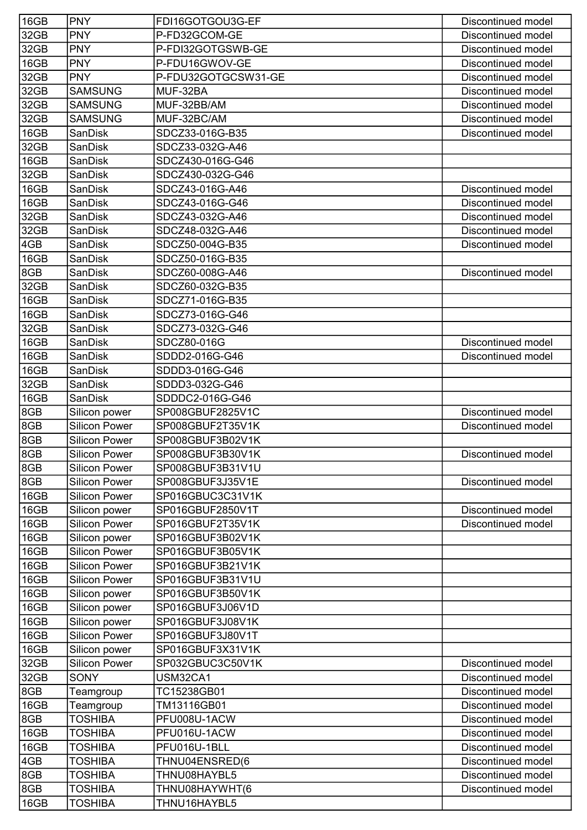| 16GB        | <b>PNY</b>                  | FDI16GOTGOU3G-EF        | Discontinued model                       |
|-------------|-----------------------------|-------------------------|------------------------------------------|
| 32GB        | <b>PNY</b>                  | P-FD32GCOM-GE           | Discontinued model                       |
| 32GB        | <b>PNY</b>                  | P-FDI32GOTGSWB-GE       | Discontinued model                       |
| 16GB        | <b>PNY</b>                  | P-FDU16GWOV-GE          | Discontinued model                       |
| 32GB        | <b>PNY</b>                  | P-FDU32GOTGCSW31-GE     | Discontinued model                       |
| 32GB        | <b>SAMSUNG</b>              | MUF-32BA                | Discontinued model                       |
| 32GB        | <b>SAMSUNG</b>              | MUF-32BB/AM             | Discontinued model                       |
| 32GB        | <b>SAMSUNG</b>              | MUF-32BC/AM             | Discontinued model                       |
| 16GB        | <b>SanDisk</b>              | SDCZ33-016G-B35         | Discontinued model                       |
| 32GB        | SanDisk                     | SDCZ33-032G-A46         |                                          |
| 16GB        | <b>SanDisk</b>              | SDCZ430-016G-G46        |                                          |
| 32GB        | <b>SanDisk</b>              | SDCZ430-032G-G46        |                                          |
| 16GB        | SanDisk                     | SDCZ43-016G-A46         | Discontinued model                       |
| 16GB        | SanDisk                     | SDCZ43-016G-G46         | Discontinued model                       |
| 32GB        | SanDisk                     | SDCZ43-032G-A46         | Discontinued model                       |
| 32GB        | SanDisk                     | SDCZ48-032G-A46         | Discontinued model                       |
| 4GB         | <b>SanDisk</b>              | SDCZ50-004G-B35         | Discontinued model                       |
| 16GB        | SanDisk                     | SDCZ50-016G-B35         |                                          |
| 8GB         | <b>SanDisk</b>              | SDCZ60-008G-A46         | Discontinued model                       |
| 32GB        | <b>SanDisk</b>              | SDCZ60-032G-B35         |                                          |
| 16GB        | SanDisk                     | SDCZ71-016G-B35         |                                          |
| 16GB        | <b>SanDisk</b>              | SDCZ73-016G-G46         |                                          |
| 32GB        | <b>SanDisk</b>              | SDCZ73-032G-G46         |                                          |
| 16GB        | <b>SanDisk</b>              | SDCZ80-016G             | Discontinued model                       |
| 16GB        | <b>SanDisk</b>              | SDDD2-016G-G46          | Discontinued model                       |
| 16GB        | SanDisk                     | SDDD3-016G-G46          |                                          |
| 32GB        | <b>SanDisk</b>              | SDDD3-032G-G46          |                                          |
| 16GB        | SanDisk                     | SDDDC2-016G-G46         |                                          |
| 8GB         | Silicon power               | SP008GBUF2825V1C        | Discontinued model                       |
| 8GB         | <b>Silicon Power</b>        | SP008GBUF2T35V1K        | Discontinued model                       |
| 8GB         | <b>Silicon Power</b>        | SP008GBUF3B02V1K        |                                          |
| 8GB         | <b>Silicon Power</b>        | SP008GBUF3B30V1K        | Discontinued model                       |
| 8GB         | <b>Silicon Power</b>        | SP008GBUF3B31V1U        |                                          |
| 8GB         | <b>Silicon Power</b>        | SP008GBUF3J35V1E        | Discontinued model                       |
| 16GB        | <b>Silicon Power</b>        | SP016GBUC3C31V1K        |                                          |
| 16GB        | Silicon power               | SP016GBUF2850V1T        | Discontinued model                       |
| 16GB        | <b>Silicon Power</b>        | SP016GBUF2T35V1K        | <b>Discontinued model</b>                |
| 16GB        | Silicon power               | SP016GBUF3B02V1K        |                                          |
| 16GB        | <b>Silicon Power</b>        | SP016GBUF3B05V1K        |                                          |
| 16GB        | <b>Silicon Power</b>        | SP016GBUF3B21V1K        |                                          |
| 16GB        | <b>Silicon Power</b>        | SP016GBUF3B31V1U        |                                          |
| 16GB        | Silicon power               | SP016GBUF3B50V1K        |                                          |
| 16GB        | Silicon power               | SP016GBUF3J06V1D        |                                          |
| 16GB        | Silicon power               | SP016GBUF3J08V1K        |                                          |
| 16GB        | <b>Silicon Power</b>        | SP016GBUF3J80V1T        |                                          |
| 16GB        | Silicon power               | SP016GBUF3X31V1K        |                                          |
| 32GB        | <b>Silicon Power</b>        | SP032GBUC3C50V1K        | Discontinued model                       |
| 32GB<br>8GB | <b>SONY</b>                 | USM32CA1<br>TC15238GB01 | Discontinued model<br>Discontinued model |
| 16GB        | Teamgroup                   | TM13116GB01             | Discontinued model                       |
| 8GB         | Teamgroup<br><b>TOSHIBA</b> | PFU008U-1ACW            | Discontinued model                       |
| 16GB        | <b>TOSHIBA</b>              | PFU016U-1ACW            | Discontinued model                       |
| 16GB        | <b>TOSHIBA</b>              | PFU016U-1BLL            | Discontinued model                       |
| 4GB         | <b>TOSHIBA</b>              | THNU04ENSRED(6          | Discontinued model                       |
| 8GB         | <b>TOSHIBA</b>              | THNU08HAYBL5            | <b>Discontinued model</b>                |
| 8GB         | <b>TOSHIBA</b>              | THNU08HAYWHT(6          | Discontinued model                       |
| 16GB        | <b>TOSHIBA</b>              | THNU16HAYBL5            |                                          |
|             |                             |                         |                                          |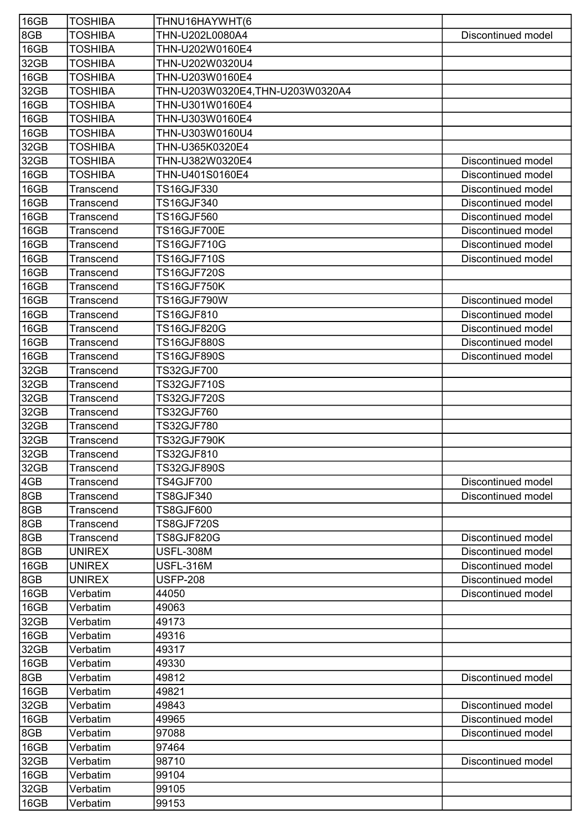| 16GB | <b>TOSHIBA</b>   | THNU16HAYWHT(6                  |                    |
|------|------------------|---------------------------------|--------------------|
| 8GB  | <b>TOSHIBA</b>   | THN-U202L0080A4                 | Discontinued model |
| 16GB | <b>TOSHIBA</b>   | THN-U202W0160E4                 |                    |
| 32GB | TOSHIBA          | THN-U202W0320U4                 |                    |
| 16GB | <b>TOSHIBA</b>   | THN-U203W0160E4                 |                    |
| 32GB | <b>TOSHIBA</b>   | THN-U203W0320E4,THN-U203W0320A4 |                    |
| 16GB | <b>TOSHIBA</b>   | THN-U301W0160E4                 |                    |
| 16GB | <b>TOSHIBA</b>   | THN-U303W0160E4                 |                    |
| 16GB | <b>TOSHIBA</b>   | THN-U303W0160U4                 |                    |
| 32GB | <b>TOSHIBA</b>   | THN-U365K0320E4                 |                    |
| 32GB | <b>TOSHIBA</b>   | THN-U382W0320E4                 | Discontinued model |
| 16GB | <b>TOSHIBA</b>   | THN-U401S0160E4                 | Discontinued model |
| 16GB | Transcend        | TS16GJF330                      | Discontinued model |
| 16GB | Transcend        | <b>TS16GJF340</b>               | Discontinued model |
| 16GB | Transcend        | <b>TS16GJF560</b>               | Discontinued model |
| 16GB | Transcend        | <b>TS16GJF700E</b>              | Discontinued model |
| 16GB | <b>Transcend</b> | <b>TS16GJF710G</b>              | Discontinued model |
| 16GB | Transcend        | <b>TS16GJF710S</b>              | Discontinued model |
| 16GB | Transcend        | <b>TS16GJF720S</b>              |                    |
| 16GB | Transcend        | <b>TS16GJF750K</b>              |                    |
| 16GB | Transcend        | TS16GJF790W                     | Discontinued model |
| 16GB | Transcend        | TS16GJF810                      | Discontinued model |
| 16GB | Transcend        | TS16GJF820G                     | Discontinued model |
| 16GB | Transcend        | <b>TS16GJF880S</b>              | Discontinued model |
| 16GB | Transcend        | <b>TS16GJF890S</b>              | Discontinued model |
| 32GB | Transcend        | TS32GJF700                      |                    |
| 32GB | Transcend        | <b>TS32GJF710S</b>              |                    |
| 32GB | Transcend        | <b>TS32GJF720S</b>              |                    |
| 32GB | Transcend        | TS32GJF760                      |                    |
| 32GB | Transcend        | TS32GJF780                      |                    |
| 32GB | Transcend        | <b>TS32GJF790K</b>              |                    |
| 32GB | Transcend        | TS32GJF810                      |                    |
| 32GB | Transcend        | <b>TS32GJF890S</b>              |                    |
| 4GB  | Transcend        | TS4GJF700                       | Discontinued model |
| 8GB  | Transcend        | <b>TS8GJF340</b>                | Discontinued model |
| 8GB  | Transcend        | <b>TS8GJF600</b>                |                    |
| 8GB  | Transcend        | TS8GJF720S                      |                    |
| 8GB  | <b>Transcend</b> | <b>TS8GJF820G</b>               | Discontinued model |
| 8GB  | <b>UNIREX</b>    | <b>USFL-308M</b>                | Discontinued model |
| 16GB | <b>UNIREX</b>    | <b>USFL-316M</b>                | Discontinued model |
| 8GB  | <b>UNIREX</b>    | <b>USFP-208</b>                 | Discontinued model |
| 16GB | Verbatim         | 44050                           | Discontinued model |
| 16GB | Verbatim         | 49063                           |                    |
| 32GB | Verbatim         | 49173                           |                    |
| 16GB | Verbatim         | 49316                           |                    |
| 32GB | Verbatim         | 49317                           |                    |
| 16GB | Verbatim         | 49330                           |                    |
| 8GB  | Verbatim         | 49812                           | Discontinued model |
| 16GB | Verbatim         | 49821                           |                    |
| 32GB | Verbatim         | 49843                           | Discontinued model |
| 16GB | Verbatim         | 49965                           | Discontinued model |
| 8GB  | Verbatim         | 97088                           | Discontinued model |
| 16GB | Verbatim         | 97464                           |                    |
| 32GB | Verbatim         | 98710                           | Discontinued model |
| 16GB | Verbatim         | 99104                           |                    |
| 32GB | Verbatim         | 99105                           |                    |
| 16GB | Verbatim         | 99153                           |                    |